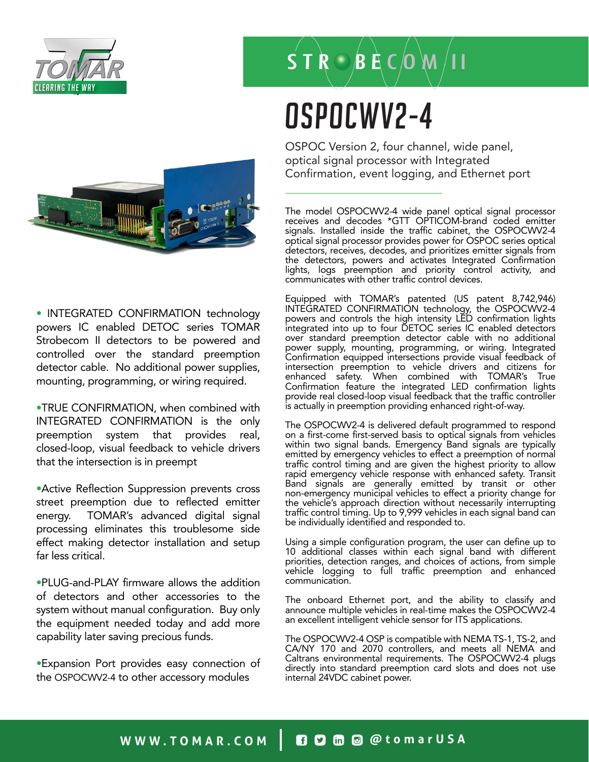

### $\overline{\mathsf{S}}$  T  $\mathsf{R}\odot\mathsf{B}$   $\mathsf{R}\in\mathsf{O}$   $\mathsf{W}/\mathsf{H}$

# OSPOCWV2-4

OSPOC Version 2, four channel, wide panel, optical signal processor with Integrated Confirmation, event logging, and Ethernet port

The model OSPOCWV2-4 wide panel optical signal processor receives and decodes \*GTT OPTICOM-brand coded emitter signals. Installed inside the traffic cabinet, the OSPOCWV2-4 optical signal processor provides power for OSPOC series optical detectors, receives, decodes, and prioritizes emitter signals from the detectors, powers and activates Integrated Confirmation lights, logs preemption and priority control activity, and communicates with other traffic control devices.

Equipped with TOMAR's patented (US patent 8,742,946) INTEGRATED CONFIRMATION technology, the OSPOCWV2-4 powers and controls the high intensity LED confirmation lights integrated into up to four DETOC series IC enabled detectors over standard preemption detector cable with no additional power supply, mounting, programming, or wiring. Integrated Confirmation equipped intersections provide visual feedback of intersection preemption to vehicle drivers and citizens for enhanced safety. When combined with TOMAR's True Confirmation feature the integrated LED confirmation lights provide real closed-loop visual feedback that the traffic controller is actually in preemption providing enhanced right-of-way.

The OSPOCWV2-4 is delivered default programmed to respond on a first-come first-served basis to optical signals from vehicles within two signal bands. Emergency Band signals are typically emitted by emergency vehicles to effect a preemption of normal traffic control timing and are given the highest priority to allow rapid emergency vehicle response with enhanced safety. Transit Band signals are generally emitted by transit or other non-emergency municipal vehicles to effect a priority change for the vehicle's approach direction without necessarily interrupting traffic control timing. Up to 9,999 vehicles in each signal band can be individually identified and responded to.

Using a simple configuration program, the user can define up to 10 additional classes within each signal band with different priorities, detection ranges, and choices of actions, from simple vehicle logging to full traffic preemption and enhanced communication.

The onboard Ethernet port, and the ability to classify and announce multiple vehicles in real-time makes the OSPOCWV2-4 an excellent intelligent vehicle sensor for ITS applications.

The OSPOCWV2-4 OSP is compatible with NEMA TS-1, TS-2, and CA/NY 170 and 2070 controllers, and meets all NEMA and Caltrans environmental requirements. The OSPOCWV2-4 plugs directly into standard preemption card slots and does not use internal 24VDC cabinet power.



• INTEGRATED CONFIRMATION technology powers IC enabled DETOC series TOMAR Strobecom II detectors to be powered and controlled over the standard preemption detector cable. No additional power supplies, mounting, programming, or wiring required.

•TRUE CONFIRMATION, when combined with INTEGRATED CONFIRMATION is the only preemption system that provides real, closed-loop, visual feedback to vehicle drivers that the intersection is in preempt

•Active Reflection Suppression prevents cross street preemption due to reflected emitter energy. TOMAR's advanced digital signal processing eliminates this troublesome side effect making detector installation and setup far less critical.

•PLUG-and-PLAY firmware allows the addition of detectors and other accessories to the system without manual configuration. Buy only the equipment needed today and add more capability later saving precious funds.

•Expansion Port provides easy connection of the OSPOCWV2-4 to other accessory modules